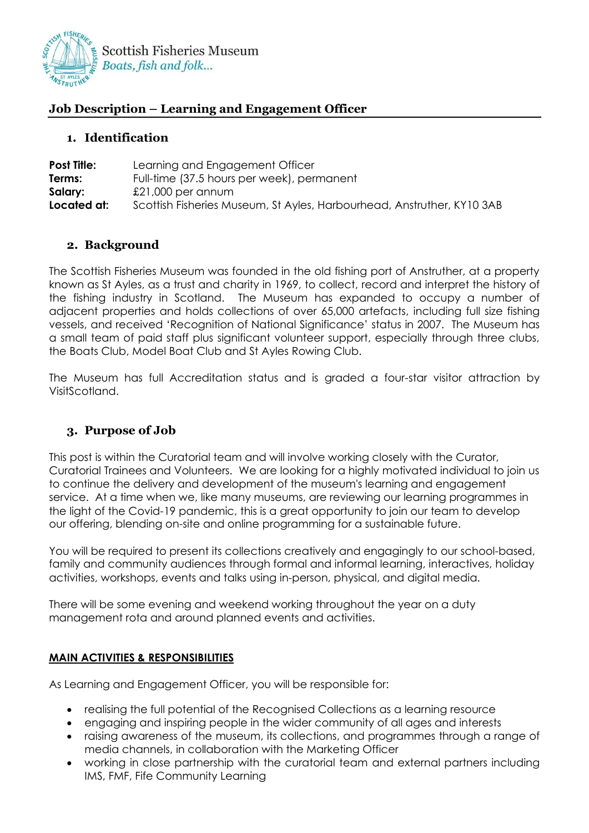

## **Job Description – Learning and Engagement Officer**

## **1. Identification**

| <b>Post Title:</b> | Learning and Engagement Officer                                        |
|--------------------|------------------------------------------------------------------------|
| Terms:             | Full-time (37.5 hours per week), permanent                             |
| Salary:            | $£21,000$ per annum                                                    |
| Located at:        | Scottish Fisheries Museum, St Ayles, Harbourhead, Anstruther, KY10 3AB |

## **2. Background**

The Scottish Fisheries Museum was founded in the old fishing port of Anstruther, at a property known as St Ayles, as a trust and charity in 1969, to collect, record and interpret the history of the fishing industry in Scotland. The Museum has expanded to occupy a number of adjacent properties and holds collections of over 65,000 artefacts, including full size fishing vessels, and received 'Recognition of National Significance' status in 2007. The Museum has a small team of paid staff plus significant volunteer support, especially through three clubs, the Boats Club, Model Boat Club and St Ayles Rowing Club.

The Museum has full Accreditation status and is graded a four-star visitor attraction by VisitScotland.

## **3. Purpose of Job**

This post is within the Curatorial team and will involve working closely with the Curator, Curatorial Trainees and Volunteers. We are looking for a highly motivated individual to join us to continue the delivery and development of the museum's learning and engagement service. At a time when we, like many museums, are reviewing our learning programmes in the light of the Covid-19 pandemic, this is a great opportunity to join our team to develop our offering, blending on-site and online programming for a sustainable future.

You will be required to present its collections creatively and engagingly to our school-based, family and community audiences through formal and informal learning, interactives, holiday activities, workshops, events and talks using in-person, physical, and digital media.

There will be some evening and weekend working throughout the year on a duty management rota and around planned events and activities.

## **MAIN ACTIVITIES & RESPONSIBILITIES**

As Learning and Engagement Officer, you will be responsible for:

- realising the full potential of the Recognised Collections as a learning resource
- engaging and inspiring people in the wider community of all ages and interests
- raising awareness of the museum, its collections, and programmes through a range of media channels, in collaboration with the Marketing Officer
- working in close partnership with the curatorial team and external partners including IMS, FMF, Fife Community Learning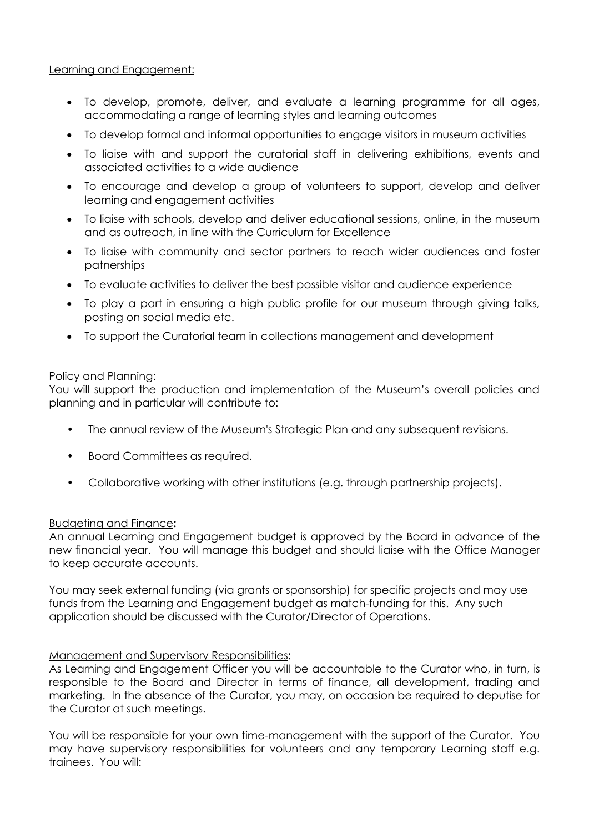## Learning and Engagement:

- To develop, promote, deliver, and evaluate a learning programme for all ages, accommodating a range of learning styles and learning outcomes
- To develop formal and informal opportunities to engage visitors in museum activities
- To liaise with and support the curatorial staff in delivering exhibitions, events and associated activities to a wide audience
- To encourage and develop a group of volunteers to support, develop and deliver learning and engagement activities
- To liaise with schools, develop and deliver educational sessions, online, in the museum and as outreach, in line with the Curriculum for Excellence
- To liaise with community and sector partners to reach wider audiences and foster patnerships
- To evaluate activities to deliver the best possible visitor and audience experience
- To play a part in ensuring a high public profile for our museum through giving talks, posting on social media etc.
- To support the Curatorial team in collections management and development

#### Policy and Planning:

You will support the production and implementation of the Museum's overall policies and planning and in particular will contribute to:

- The annual review of the Museum's Strategic Plan and any subsequent revisions.
- Board Committees as required.
- Collaborative working with other institutions (e.g. through partnership projects).

## Budgeting and Finance**:**

An annual Learning and Engagement budget is approved by the Board in advance of the new financial year. You will manage this budget and should liaise with the Office Manager to keep accurate accounts.

You may seek external funding (via grants or sponsorship) for specific projects and may use funds from the Learning and Engagement budget as match-funding for this. Any such application should be discussed with the Curator/Director of Operations.

## Management and Supervisory Responsibilities**:**

As Learning and Engagement Officer you will be accountable to the Curator who, in turn, is responsible to the Board and Director in terms of finance, all development, trading and marketing. In the absence of the Curator, you may, on occasion be required to deputise for the Curator at such meetings.

You will be responsible for your own time-management with the support of the Curator. You may have supervisory responsibilities for volunteers and any temporary Learning staff e.g. trainees. You will: